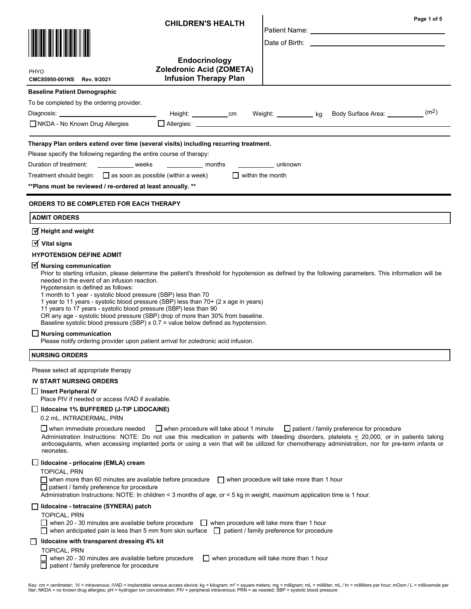|                                                                                                                                                                                                                                                                                                                                                                                                                                                                                                                                                                                                                                                                                                                                                                          | <b>CHILDREN'S HEALTH</b>                                                         |                                           |                                                            | Page 1 of 5       |
|--------------------------------------------------------------------------------------------------------------------------------------------------------------------------------------------------------------------------------------------------------------------------------------------------------------------------------------------------------------------------------------------------------------------------------------------------------------------------------------------------------------------------------------------------------------------------------------------------------------------------------------------------------------------------------------------------------------------------------------------------------------------------|----------------------------------------------------------------------------------|-------------------------------------------|------------------------------------------------------------|-------------------|
|                                                                                                                                                                                                                                                                                                                                                                                                                                                                                                                                                                                                                                                                                                                                                                          |                                                                                  |                                           |                                                            |                   |
| PHYO<br>CMC85950-001NS Rev. 9/2021                                                                                                                                                                                                                                                                                                                                                                                                                                                                                                                                                                                                                                                                                                                                       | Endocrinology<br><b>Zoledronic Acid (ZOMETA)</b><br><b>Infusion Therapy Plan</b> |                                           |                                                            |                   |
| <b>Baseline Patient Demographic</b>                                                                                                                                                                                                                                                                                                                                                                                                                                                                                                                                                                                                                                                                                                                                      |                                                                                  |                                           |                                                            |                   |
| To be completed by the ordering provider.                                                                                                                                                                                                                                                                                                                                                                                                                                                                                                                                                                                                                                                                                                                                |                                                                                  |                                           |                                                            |                   |
| Diagnosis: the contract of the contract of the contract of the contract of the contract of the contract of the contract of the contract of the contract of the contract of the contract of the contract of the contract of the                                                                                                                                                                                                                                                                                                                                                                                                                                                                                                                                           | Height: ____________cm                                                           |                                           | Weight: <u>Consumental</u> kg Body Surface Area: Consumers | (m <sup>2</sup> ) |
| □ NKDA - No Known Drug Allergies                                                                                                                                                                                                                                                                                                                                                                                                                                                                                                                                                                                                                                                                                                                                         | □ Allergies: ________________                                                    |                                           |                                                            |                   |
| Therapy Plan orders extend over time (several visits) including recurring treatment.<br>Please specify the following regarding the entire course of therapy:                                                                                                                                                                                                                                                                                                                                                                                                                                                                                                                                                                                                             |                                                                                  |                                           |                                                            |                   |
| Duration of treatment:<br><b>Example 18 Weeks</b>                                                                                                                                                                                                                                                                                                                                                                                                                                                                                                                                                                                                                                                                                                                        | <b>Example 2</b> months                                                          | <u>unknown</u>                            |                                                            |                   |
| Treatment should begin: $\Box$ as soon as possible (within a week)                                                                                                                                                                                                                                                                                                                                                                                                                                                                                                                                                                                                                                                                                                       | $\Box$ within the month                                                          |                                           |                                                            |                   |
| **Plans must be reviewed / re-ordered at least annually. **                                                                                                                                                                                                                                                                                                                                                                                                                                                                                                                                                                                                                                                                                                              |                                                                                  |                                           |                                                            |                   |
| <b>ORDERS TO BE COMPLETED FOR EACH THERAPY</b>                                                                                                                                                                                                                                                                                                                                                                                                                                                                                                                                                                                                                                                                                                                           |                                                                                  |                                           |                                                            |                   |
| <b>ADMIT ORDERS</b>                                                                                                                                                                                                                                                                                                                                                                                                                                                                                                                                                                                                                                                                                                                                                      |                                                                                  |                                           |                                                            |                   |
| $\sqrt{ }$ Height and weight                                                                                                                                                                                                                                                                                                                                                                                                                                                                                                                                                                                                                                                                                                                                             |                                                                                  |                                           |                                                            |                   |
| $\overline{\mathsf{M}}$ Vital signs                                                                                                                                                                                                                                                                                                                                                                                                                                                                                                                                                                                                                                                                                                                                      |                                                                                  |                                           |                                                            |                   |
| <b>HYPOTENSION DEFINE ADMIT</b>                                                                                                                                                                                                                                                                                                                                                                                                                                                                                                                                                                                                                                                                                                                                          |                                                                                  |                                           |                                                            |                   |
| Prior to starting infusion, please determine the patient's threshold for hypotension as defined by the following parameters. This information will be<br>needed in the event of an infusion reaction.<br>Hypotension is defined as follows:<br>1 month to 1 year - systolic blood pressure (SBP) less than 70<br>1 year to 11 years - systolic blood pressure (SBP) less than 70+ (2 x age in years)<br>11 years to 17 years - systolic blood pressure (SBP) less than 90<br>OR any age - systolic blood pressure (SBP) drop of more than 30% from baseline.<br>Baseline systolic blood pressure (SBP) x 0.7 = value below defined as hypotension.<br><b>Nursing communication</b><br>Please notify ordering provider upon patient arrival for zoledronic acid infusion. |                                                                                  |                                           |                                                            |                   |
| <b>NURSING ORDERS</b>                                                                                                                                                                                                                                                                                                                                                                                                                                                                                                                                                                                                                                                                                                                                                    |                                                                                  |                                           |                                                            |                   |
| Please select all appropriate therapy                                                                                                                                                                                                                                                                                                                                                                                                                                                                                                                                                                                                                                                                                                                                    |                                                                                  |                                           |                                                            |                   |
| <b>IV START NURSING ORDERS</b>                                                                                                                                                                                                                                                                                                                                                                                                                                                                                                                                                                                                                                                                                                                                           |                                                                                  |                                           |                                                            |                   |
| Insert Peripheral IV<br>Place PIV if needed or access IVAD if available.                                                                                                                                                                                                                                                                                                                                                                                                                                                                                                                                                                                                                                                                                                 |                                                                                  |                                           |                                                            |                   |
| lidocaine 1% BUFFERED (J-TIP LIDOCAINE)<br>0.2 mL, INTRADERMAL, PRN                                                                                                                                                                                                                                                                                                                                                                                                                                                                                                                                                                                                                                                                                                      |                                                                                  |                                           |                                                            |                   |
| $\Box$ when immediate procedure needed<br>Administration Instructions: NOTE: Do not use this medication in patients with bleeding disorders, platelets < 20,000, or in patients taking<br>anticoagulants, when accessing implanted ports or using a vein that will be utilized for chemotherapy administration, nor for pre-term infants or<br>neonates.                                                                                                                                                                                                                                                                                                                                                                                                                 | $\Box$ when procedure will take about 1 minute                                   |                                           | $\Box$ patient / family preference for procedure           |                   |
| lidocaine - prilocaine (EMLA) cream<br><b>TOPICAL, PRN</b><br>│ │ when more than 60 minutes are available before procedure<br>$\Box$ patient / family preference for procedure<br>Administration Instructions: NOTE: In children < 3 months of age, or < 5 kg in weight, maximum application time is 1 hour.                                                                                                                                                                                                                                                                                                                                                                                                                                                             |                                                                                  | when procedure will take more than 1 hour |                                                            |                   |
| lidocaine - tetracaine (SYNERA) patch<br><b>TOPICAL, PRN</b><br>when 20 - 30 minutes are available before procedure $\Box$ when procedure will take more than 1 hour<br>when anticipated pain is less than 5 mm from skin surface $\Box$ patient / family preference for procedure                                                                                                                                                                                                                                                                                                                                                                                                                                                                                       |                                                                                  |                                           |                                                            |                   |
| lidocaine with transparent dressing 4% kit<br><b>TOPICAL, PRN</b><br>when 20 - 30 minutes are available before procedure<br>patient / family preference for procedure                                                                                                                                                                                                                                                                                                                                                                                                                                                                                                                                                                                                    | $\Box$ when procedure will take more than 1 hour                                 |                                           |                                                            |                   |

Key: cm = centimeter; IV = intravenous; IVAD = implantable venous access device; kg = kilogram; mª = square meters; mg = milligram; mL = milliiter; mL / hr = milliiters per hour; mOsm / L = milliosmole per<br>liter; NKDA = n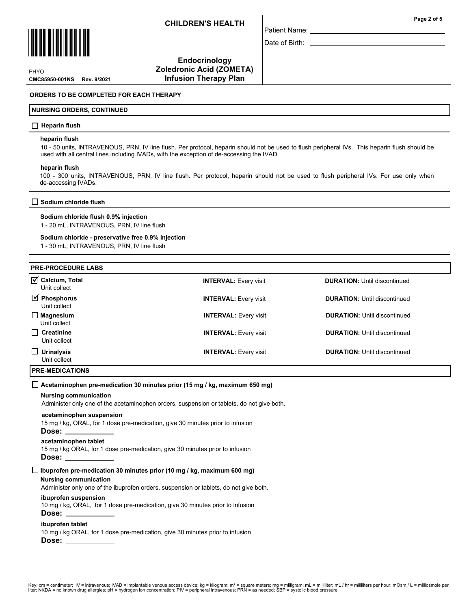

CMC85950-001NS Rev. 9/2021 PHYO

Endocrinology Zoledronic Acid (ZOMETA) Infusion Therapy Plan

# ORDERS TO BE COMPLETED FOR EACH THERAPY

# NURSING ORDERS, CONTINUED

# $\Box$  Heparin flush

#### heparin flush

10 - 50 units, INTRAVENOUS, PRN, IV line flush. Per protocol, heparin should not be used to flush peripheral IVs. This heparin flush should be used with all central lines including IVADs, with the exception of de-accessing the IVAD.

Patient Name: Date of Birth:

#### heparin flush

100 - 300 units, INTRAVENOUS, PRN, IV line flush. Per protocol, heparin should not be used to flush peripheral IVs. For use only when de-accessing IVADs.

# Sodium chloride flush

## Sodium chloride flush 0.9% injection 1 - 20 mL, INTRAVENOUS, PRN, IV line flush

# Sodium chloride - preservative free 0.9% injection

1 - 30 mL, INTRAVENOUS, PRN, IV line flush

# PRE-PROCEDURE LABS

| $\overline{M}$ Calcium, Total<br>Unit collect      | <b>INTERVAL: Every visit</b> | <b>DURATION: Until discontinued</b> |
|----------------------------------------------------|------------------------------|-------------------------------------|
| $\overline{\mathbf{y}}$ Phosphorus<br>Unit collect | <b>INTERVAL: Every visit</b> | <b>DURATION: Until discontinued</b> |
| $\Box$ Magnesium<br>Unit collect                   | <b>INTERVAL:</b> Every visit | <b>DURATION:</b> Until discontinued |
| $\Box$ Creatinine<br>Unit collect                  | <b>INTERVAL:</b> Every visit | <b>DURATION: Until discontinued</b> |
| $\Box$ Urinalysis<br>Unit collect                  | <b>INTERVAL: Every visit</b> | <b>DURATION: Until discontinued</b> |

# PRE-MEDICATIONS

#### $\Box$  Acetaminophen pre-medication 30 minutes prior (15 mg / kg, maximum 650 mg)

#### Nursing communication

Administer only one of the acetaminophen orders, suspension or tablets, do not give both.

#### acetaminophen suspension

15 mg / kg, ORAL, for 1 dose pre-medication, give 30 minutes prior to infusion

# Dose:

# acetaminophen tablet

15 mg / kg ORAL, for 1 dose pre-medication, give 30 minutes prior to infusion

Dose:

# $\Box$  Ibuprofen pre-medication 30 minutes prior (10 mg / kg, maximum 600 mg)

# Nursing communication

Administer only one of the ibuprofen orders, suspension or tablets, do not give both.

# ibuprofen suspension

10 mg / kg, ORAL, for 1 dose pre-medication, give 30 minutes prior to infusion

# Dose:

# ibuprofen tablet

10 mg / kg ORAL, for 1 dose pre-medication, give 30 minutes prior to infusion Dose: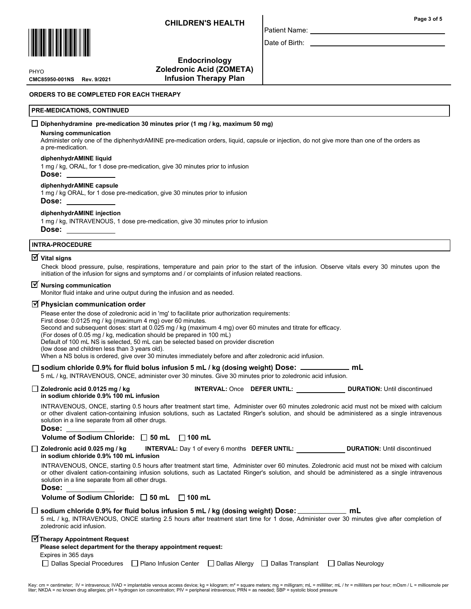

CMC85950-001NS Rev. 9/2021 **PHYO** 

**Endocrinology** Zoledronic Acid (ZOMETA) Infusion Therapy Plan

# ORDERS TO BE COMPLETED FOR EACH THERAPY

# PRE-MEDICATIONS, CONTINUED

# Diphenhydramine pre-medication 30 minutes prior (1 mg / kg, maximum 50 mg)

#### Nursing communication

Administer only one of the diphenhydrAMINE pre-medication orders, liquid, capsule or injection, do not give more than one of the orders as a pre-medication.

Patient Name: Date of Birth:

### diphenhydrAMINE liquid

1 mg / kg, ORAL, for 1 dose pre-medication, give 30 minutes prior to infusion

# Dose:

# diphenhydrAMINE capsule

1 mg / kg ORAL, for 1 dose pre-medication, give 30 minutes prior to infusion Dose:

#### diphenhydrAMINE injection

1 mg / kg, INTRAVENOUS, 1 dose pre-medication, give 30 minutes prior to infusion Dose:

#### INTRA-PROCEDURE

# $\overline{\textsf{y}}$  Vital signs

Check blood pressure, pulse, respirations, temperature and pain prior to the start of the infusion. Observe vitals every 30 minutes upon the initiation of the infusion for signs and symptoms and / or complaints of infusion related reactions.

# $\triangledown$  Nursing communication

Monitor fluid intake and urine output during the infusion and as needed.

# $\overline{\trianglelefteq}$  Physician communication order

Please enter the dose of zoledronic acid in 'mg' to facilitate prior authorization requirements: First dose: 0.0125 mg / kg (maximum 4 mg) over 60 minutes. Second and subsequent doses: start at 0.025 mg / kg (maximum 4 mg) over 60 minutes and titrate for efficacy. (For doses of 0.05 mg / kg, medication should be prepared in 100 mL) Default of 100 mL NS is selected, 50 mL can be selected based on provider discretion (low dose and children less than 3 years old). When a NS bolus is ordered, give over 30 minutes immediately before and after zoledronic acid infusion.

# □ sodium chloride 0.9% for fluid bolus infusion 5 mL / kg (dosing weight) Dose: \_\_\_\_\_\_\_\_\_\_\_\_\_ mL

5 mL / kg, INTRAVENOUS, ONCE, administer over 30 minutes. Give 30 minutes prior to zoledronic acid infusion.

□ Zoledronic acid 0.0125 mg / kg INTERVAL: Once DEFER UNTIL: DURATION: Until discontinued in sodium chloride 0.9% 100 mL infusion

INTRAVENOUS, ONCE, starting 0.5 hours after treatment start time, Administer over 60 minutes zoledronic acid must not be mixed with calcium or other divalent cation-containing infusion solutions, such as Lactated Ringer's solution, and should be administered as a single intravenous solution in a line separate from all other drugs.

#### Dose:

| Volume of Sodium Chloride: □ 50 mL |  | $\Box$ 100 mL |
|------------------------------------|--|---------------|
|------------------------------------|--|---------------|

□ Zoledronic acid 0.025 mg / kg INTERVAL: Day 1 of every 6 months DEFER UNTIL: DURATION: Until discontinued in sodium chloride 0.9% 100 mL infusion

INTRAVENOUS, ONCE, starting 0.5 hours after treatment start time, Administer over 60 minutes. Zoledronic acid must not be mixed with calcium or other divalent cation-containing infusion solutions, such as Lactated Ringer's solution, and should be administered as a single intravenous solution in a line separate from all other drugs.

| Volume of Sodium Chloride: $\Box$ 50 mL |  |  |  |  | $\Box$ 100 mL |
|-----------------------------------------|--|--|--|--|---------------|
|-----------------------------------------|--|--|--|--|---------------|

# $\square$  sodium chloride 0.9% for fluid bolus infusion 5 mL / kg (dosing weight) Dose: \_\_\_\_\_\_\_\_\_\_\_\_\_\_ mL

5 mL / kg, INTRAVENOUS, ONCE starting 2.5 hours after treatment start time for 1 dose, Administer over 30 minutes give after completion of zoledronic acid infusion.

# $\overline{\textbf{y}}$ Therapy Appointment Request

| Please select department for the therapy appointment request: |  |
|---------------------------------------------------------------|--|
| <b>Exnires in 365 davs</b>                                    |  |

| xpires in 365 days: |  |  |
|---------------------|--|--|
|                     |  |  |

| □ Dallas Special Procedures □ Plano Infusion Center □ Dallas Allergy □ Dallas Transplant □ Dallas Neurology |  |  |  |
|-------------------------------------------------------------------------------------------------------------|--|--|--|
|-------------------------------------------------------------------------------------------------------------|--|--|--|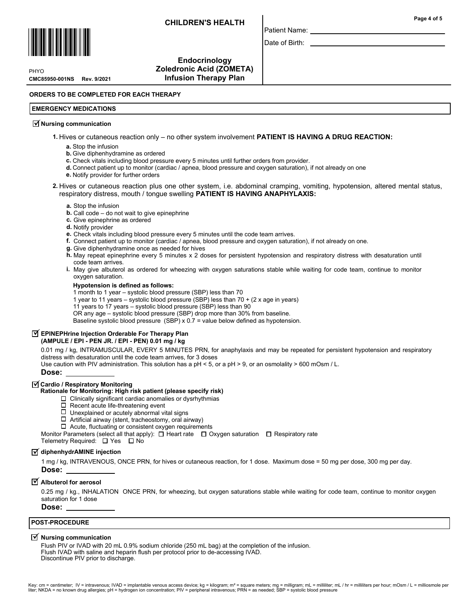

CMC85950-001NS Rev. 9/2021 **PHYO** 

Endocrinology Zoledronic Acid (ZOMETA) Infusion Therapy Plan

# ORDERS TO BE COMPLETED FOR EACH THERAPY

# EMERGENCY MEDICATIONS

# $\overline{\triangleleft}$  Nursing communication

1. Hives or cutaneous reaction only – no other system involvement PATIENT IS HAVING A DRUG REACTION:

- a. Stop the infusion
	- **b.** Give diphenhydramine as ordered
	- c. Check vitals including blood pressure every 5 minutes until further orders from provider.
- d. Connect patient up to monitor (cardiac / apnea, blood pressure and oxygen saturation), if not already on one
- e. Notify provider for further orders

# 2. Hives or cutaneous reaction plus one other system, i.e. abdominal cramping, vomiting, hypotension, altered mental status, respiratory distress, mouth / tongue swelling PATIENT IS HAVING ANAPHYLAXIS:

Patient Name: Date of Birth:

## a. Stop the infusion

- **. Call code**  $-$  **do not wait to give epinephrine**
- c. Give epinephrine as ordered
- d. Notify provider
- e. Check vitals including blood pressure every 5 minutes until the code team arrives.
- f. Connect patient up to monitor (cardiac / apnea, blood pressure and oxygen saturation), if not already on one.
- g. Give diphenhydramine once as needed for hives
- h. May repeat epinephrine every 5 minutes x 2 doses for persistent hypotension and respiratory distress with desaturation until code team arrives.
- **i.** May give albuterol as ordered for wheezing with oxygen saturations stable while waiting for code team, continue to monitor oxygen saturation.

## Hypotension is defined as follows:

1 month to 1 year – systolic blood pressure (SBP) less than 70

1 year to 11 years – systolic blood pressure (SBP) less than 70 + (2 x age in years)

11 years to 17 years – systolic blood pressure (SBP) less than 90

OR any age – systolic blood pressure (SBP) drop more than 30% from baseline.

Baseline systolic blood pressure (SBP) x 0.7 = value below defined as hypotension.

# $\overline{\textbf{y}}$  EPINEPHrine Injection Orderable For Therapy Plan

# (AMPULE / EPI - PEN JR. / EPI - PEN) 0.01 mg / kg

0.01 mg / kg, INTRAMUSCULAR, EVERY 5 MINUTES PRN, for anaphylaxis and may be repeated for persistent hypotension and respiratory distress with desaturation until the code team arrives, for 3 doses

Use caution with PIV administration. This solution has a pH < 5, or a pH > 9, or an osmolality > 600 mOsm / L.

Dose:

# $\overline{\trianglelefteq}$  Cardio / Respiratory Monitoring

# Rationale for Monitoring: High risk patient (please specify risk)

- $\square$  Clinically significant cardiac anomalies or dysrhythmias  $\square$  Recent acute life-threatening event
- Recent acute life-threatening event
- $\Box$  Unexplained or acutely abnormal vital signs
- $\Box$  Artificial airway (stent, tracheostomy, oral airway)

Acute, fluctuating or consistent oxygen requirements

Monitor Parameters (select all that apply):  $\Box$  Heart rate  $\Box$  Oxygen saturation  $\Box$  Respiratory rate

Telemetry Required:  $\Box$  Yes  $\Box$  No

# $\overline{\textsf{y}}$  diphenhydrAMINE injection

1 mg / kg, INTRAVENOUS, ONCE PRN, for hives or cutaneous reaction, for 1 dose. Maximum dose = 50 mg per dose, 300 mg per day. Dose:

# $\overline{\mathbf{y}}$  Albuterol for aerosol

0.25 mg / kg., INHALATION ONCE PRN, for wheezing, but oxygen saturations stable while waiting for code team, continue to monitor oxygen saturation for 1 dose

Dose:

# POST-PROCEDURE

# $\overline{\mathbf{y}}$  Nursing communication

Flush PIV or IVAD with 20 mL 0.9% sodium chloride (250 mL bag) at the completion of the infusion. Flush IVAD with saline and heparin flush per protocol prior to de-accessing IVAD. Discontinue PIV prior to discharge.